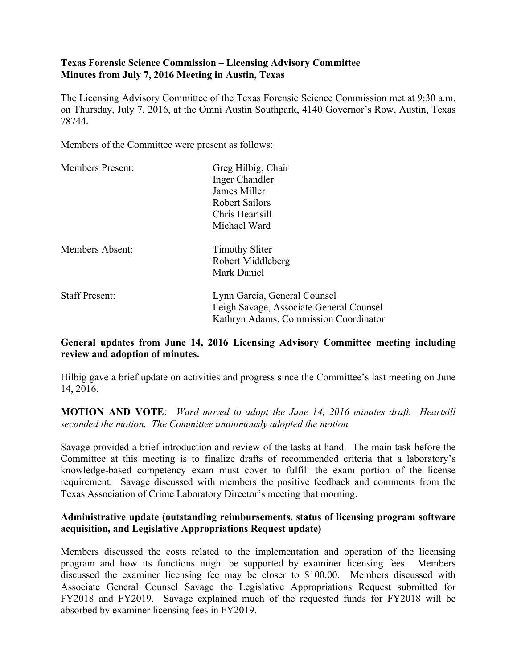# **Texas Forensic Science Commission – Licensing Advisory Committee Minutes from July 7, 2016 Meeting in Austin, Texas**

The Licensing Advisory Committee of the Texas Forensic Science Commission met at 9:30 a.m. on Thursday, July 7, 2016, at the Omni Austin Southpark, 4140 Governor's Row, Austin, Texas 78744.

Members of the Committee were present as follows:

| <b>Members Present:</b> | Greg Hilbig, Chair                                                      |
|-------------------------|-------------------------------------------------------------------------|
|                         | Inger Chandler                                                          |
|                         | James Miller                                                            |
|                         | Robert Sailors                                                          |
|                         | Chris Heartsill                                                         |
|                         | Michael Ward                                                            |
| <b>Members Absent:</b>  | <b>Timothy Sliter</b>                                                   |
|                         | Robert Middleberg                                                       |
|                         | Mark Daniel                                                             |
| <b>Staff Present:</b>   | Lynn Garcia, General Counsel<br>Leigh Savage, Associate General Counsel |
|                         | Kathryn Adams, Commission Coordinator                                   |

# **General updates from June 14, 2016 Licensing Advisory Committee meeting including review and adoption of minutes.**

Hilbig gave a brief update on activities and progress since the Committee's last meeting on June 14, 2016.

**MOTION AND VOTE**: *Ward moved to adopt the June 14, 2016 minutes draft. Heartsill seconded the motion. The Committee unanimously adopted the motion.*

Savage provided a brief introduction and review of the tasks at hand. The main task before the Committee at this meeting is to finalize drafts of recommended criteria that a laboratory's knowledge-based competency exam must cover to fulfill the exam portion of the license requirement. Savage discussed with members the positive feedback and comments from the Texas Association of Crime Laboratory Director's meeting that morning.

### **Administrative update (outstanding reimbursements, status of licensing program software acquisition, and Legislative Appropriations Request update)**

Members discussed the costs related to the implementation and operation of the licensing program and how its functions might be supported by examiner licensing fees. Members discussed the examiner licensing fee may be closer to \$100.00. Members discussed with Associate General Counsel Savage the Legislative Appropriations Request submitted for FY2018 and FY2019. Savage explained much of the requested funds for FY2018 will be absorbed by examiner licensing fees in FY2019.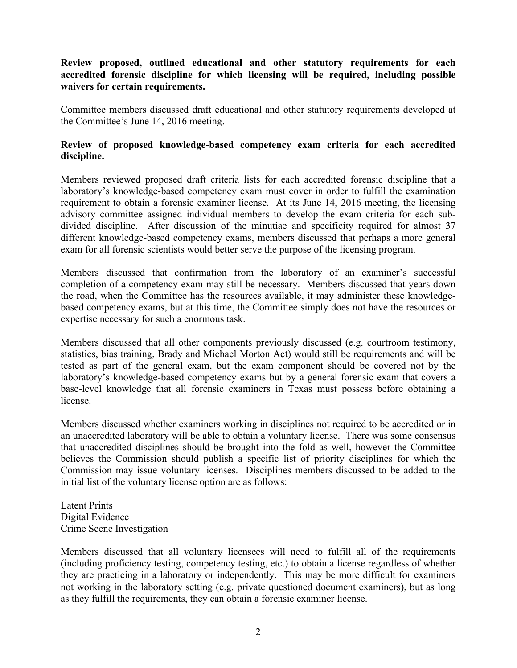## **Review proposed, outlined educational and other statutory requirements for each accredited forensic discipline for which licensing will be required, including possible waivers for certain requirements.**

Committee members discussed draft educational and other statutory requirements developed at the Committee's June 14, 2016 meeting.

### **Review of proposed knowledge-based competency exam criteria for each accredited discipline.**

Members reviewed proposed draft criteria lists for each accredited forensic discipline that a laboratory's knowledge-based competency exam must cover in order to fulfill the examination requirement to obtain a forensic examiner license. At its June 14, 2016 meeting, the licensing advisory committee assigned individual members to develop the exam criteria for each subdivided discipline. After discussion of the minutiae and specificity required for almost 37 different knowledge-based competency exams, members discussed that perhaps a more general exam for all forensic scientists would better serve the purpose of the licensing program.

Members discussed that confirmation from the laboratory of an examiner's successful completion of a competency exam may still be necessary. Members discussed that years down the road, when the Committee has the resources available, it may administer these knowledgebased competency exams, but at this time, the Committee simply does not have the resources or expertise necessary for such a enormous task.

Members discussed that all other components previously discussed (e.g. courtroom testimony, statistics, bias training, Brady and Michael Morton Act) would still be requirements and will be tested as part of the general exam, but the exam component should be covered not by the laboratory's knowledge-based competency exams but by a general forensic exam that covers a base-level knowledge that all forensic examiners in Texas must possess before obtaining a license.

Members discussed whether examiners working in disciplines not required to be accredited or in an unaccredited laboratory will be able to obtain a voluntary license. There was some consensus that unaccredited disciplines should be brought into the fold as well, however the Committee believes the Commission should publish a specific list of priority disciplines for which the Commission may issue voluntary licenses. Disciplines members discussed to be added to the initial list of the voluntary license option are as follows:

Latent Prints Digital Evidence Crime Scene Investigation

Members discussed that all voluntary licensees will need to fulfill all of the requirements (including proficiency testing, competency testing, etc.) to obtain a license regardless of whether they are practicing in a laboratory or independently. This may be more difficult for examiners not working in the laboratory setting (e.g. private questioned document examiners), but as long as they fulfill the requirements, they can obtain a forensic examiner license.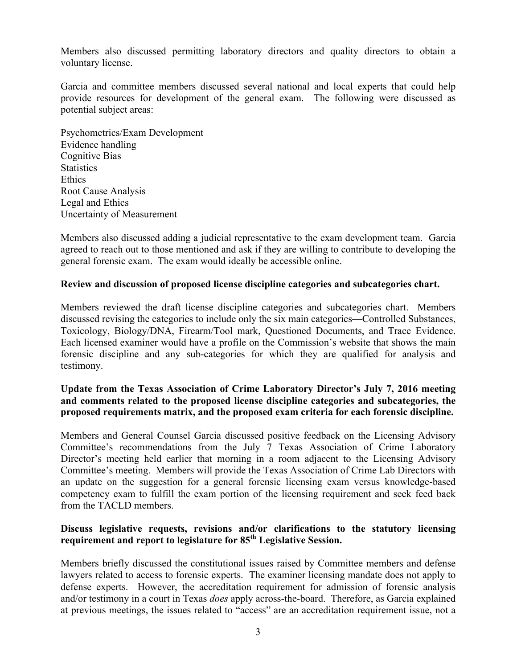Members also discussed permitting laboratory directors and quality directors to obtain a voluntary license.

Garcia and committee members discussed several national and local experts that could help provide resources for development of the general exam. The following were discussed as potential subject areas:

Psychometrics/Exam Development Evidence handling Cognitive Bias **Statistics Ethics** Root Cause Analysis Legal and Ethics Uncertainty of Measurement

Members also discussed adding a judicial representative to the exam development team. Garcia agreed to reach out to those mentioned and ask if they are willing to contribute to developing the general forensic exam. The exam would ideally be accessible online.

### **Review and discussion of proposed license discipline categories and subcategories chart.**

Members reviewed the draft license discipline categories and subcategories chart. Members discussed revising the categories to include only the six main categories—Controlled Substances, Toxicology, Biology/DNA, Firearm/Tool mark, Questioned Documents, and Trace Evidence. Each licensed examiner would have a profile on the Commission's website that shows the main forensic discipline and any sub-categories for which they are qualified for analysis and testimony.

# **Update from the Texas Association of Crime Laboratory Director's July 7, 2016 meeting and comments related to the proposed license discipline categories and subcategories, the proposed requirements matrix, and the proposed exam criteria for each forensic discipline.**

Members and General Counsel Garcia discussed positive feedback on the Licensing Advisory Committee's recommendations from the July 7 Texas Association of Crime Laboratory Director's meeting held earlier that morning in a room adjacent to the Licensing Advisory Committee's meeting. Members will provide the Texas Association of Crime Lab Directors with an update on the suggestion for a general forensic licensing exam versus knowledge-based competency exam to fulfill the exam portion of the licensing requirement and seek feed back from the TACLD members.

#### **Discuss legislative requests, revisions and/or clarifications to the statutory licensing requirement and report to legislature for 85th Legislative Session.**

Members briefly discussed the constitutional issues raised by Committee members and defense lawyers related to access to forensic experts. The examiner licensing mandate does not apply to defense experts. However, the accreditation requirement for admission of forensic analysis and/or testimony in a court in Texas *does* apply across-the-board. Therefore, as Garcia explained at previous meetings, the issues related to "access" are an accreditation requirement issue, not a